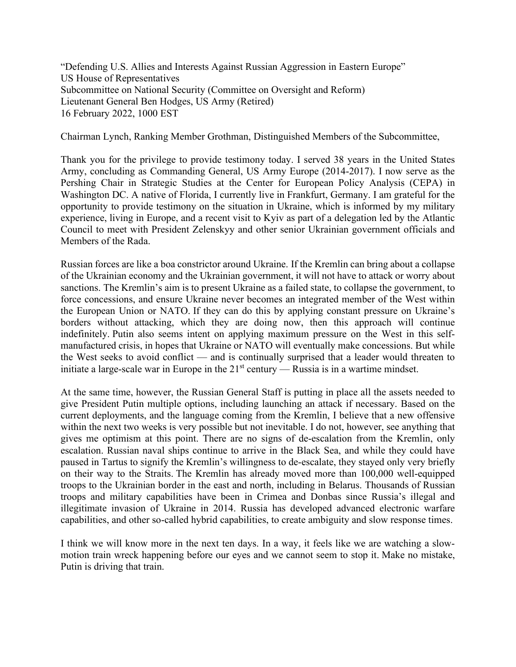"Defending U.S. Allies and Interests Against Russian Aggression in Eastern Europe" US House of Representatives Subcommittee on National Security (Committee on Oversight and Reform) Lieutenant General Ben Hodges, US Army (Retired) 16 February 2022, 1000 EST

Chairman Lynch, Ranking Member Grothman, Distinguished Members of the Subcommittee,

Thank you for the privilege to provide testimony today. I served 38 years in the United States Army, concluding as Commanding General, US Army Europe (2014-2017). I now serve as the Pershing Chair in Strategic Studies at the Center for European Policy Analysis (CEPA) in Washington DC. A native of Florida, I currently live in Frankfurt, Germany. I am grateful for the opportunity to provide testimony on the situation in Ukraine, which is informed by my military experience, living in Europe, and a recent visit to Kyiv as part of a delegation led by the Atlantic Council to meet with President Zelenskyy and other senior Ukrainian government officials and Members of the Rada.

Russian forces are like a boa constrictor around Ukraine. If the Kremlin can bring about a collapse of the Ukrainian economy and the Ukrainian government, it will not have to attack or worry about sanctions. The Kremlin's aim is to present Ukraine as a failed state, to collapse the government, to force concessions, and ensure Ukraine never becomes an integrated member of the West within the European Union or NATO. If they can do this by applying constant pressure on Ukraine's borders without attacking, which they are doing now, then this approach will continue indefinitely. Putin also seems intent on applying maximum pressure on the West in this selfmanufactured crisis, in hopes that Ukraine or NATO will eventually make concessions. But while the West seeks to avoid conflict — and is continually surprised that a leader would threaten to initiate a large-scale war in Europe in the  $21<sup>st</sup>$  century — Russia is in a wartime mindset.

At the same time, however, the Russian General Staff is putting in place all the assets needed to give President Putin multiple options, including launching an attack if necessary. Based on the current deployments, and the language coming from the Kremlin, I believe that a new offensive within the next two weeks is very possible but not inevitable. I do not, however, see anything that gives me optimism at this point. There are no signs of de-escalation from the Kremlin, only escalation. Russian naval ships continue to arrive in the Black Sea, and while they could have paused in Tartus to signify the Kremlin's willingness to de-escalate, they stayed only very briefly on their way to the Straits. The Kremlin has already moved more than 100,000 well-equipped troops to the Ukrainian border in the east and north, including in Belarus. Thousands of Russian troops and military capabilities have been in Crimea and Donbas since Russia's illegal and illegitimate invasion of Ukraine in 2014. Russia has developed advanced electronic warfare capabilities, and other so-called hybrid capabilities, to create ambiguity and slow response times.

I think we will know more in the next ten days. In a way, it feels like we are watching a slowmotion train wreck happening before our eyes and we cannot seem to stop it. Make no mistake, Putin is driving that train.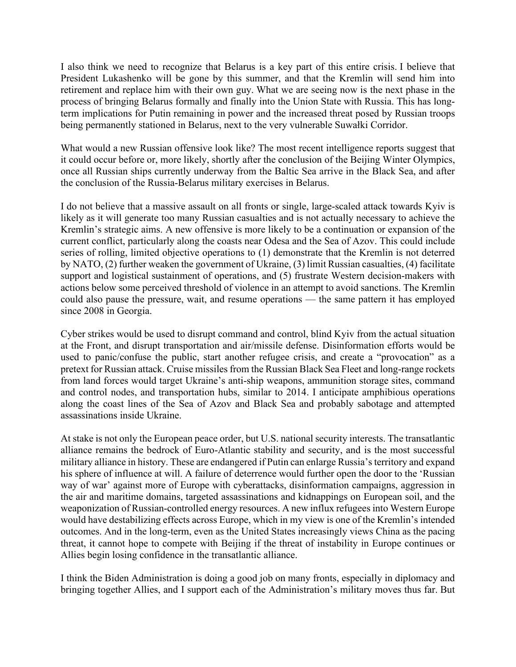I also think we need to recognize that Belarus is a key part of this entire crisis. I believe that President Lukashenko will be gone by this summer, and that the Kremlin will send him into retirement and replace him with their own guy. What we are seeing now is the next phase in the process of bringing Belarus formally and finally into the Union State with Russia. This has longterm implications for Putin remaining in power and the increased threat posed by Russian troops being permanently stationed in Belarus, next to the very vulnerable Suwałki Corridor.

What would a new Russian offensive look like? The most recent intelligence reports suggest that it could occur before or, more likely, shortly after the conclusion of the Beijing Winter Olympics, once all Russian ships currently underway from the Baltic Sea arrive in the Black Sea, and after the conclusion of the Russia-Belarus military exercises in Belarus.

I do not believe that a massive assault on all fronts or single, large-scaled attack towards Kyiv is likely as it will generate too many Russian casualties and is not actually necessary to achieve the Kremlin's strategic aims. A new offensive is more likely to be a continuation or expansion of the current conflict, particularly along the coasts near Odesa and the Sea of Azov. This could include series of rolling, limited objective operations to (1) demonstrate that the Kremlin is not deterred by NATO, (2) further weaken the government of Ukraine, (3) limit Russian casualties, (4) facilitate support and logistical sustainment of operations, and (5) frustrate Western decision-makers with actions below some perceived threshold of violence in an attempt to avoid sanctions. The Kremlin could also pause the pressure, wait, and resume operations — the same pattern it has employed since 2008 in Georgia.

Cyber strikes would be used to disrupt command and control, blind Kyiv from the actual situation at the Front, and disrupt transportation and air/missile defense. Disinformation efforts would be used to panic/confuse the public, start another refugee crisis, and create a "provocation" as a pretext for Russian attack. Cruise missiles from the Russian Black Sea Fleet and long-range rockets from land forces would target Ukraine's anti-ship weapons, ammunition storage sites, command and control nodes, and transportation hubs, similar to 2014. I anticipate amphibious operations along the coast lines of the Sea of Azov and Black Sea and probably sabotage and attempted assassinations inside Ukraine.

At stake is not only the European peace order, but U.S. national security interests. The transatlantic alliance remains the bedrock of Euro-Atlantic stability and security, and is the most successful military alliance in history. These are endangered if Putin can enlarge Russia's territory and expand his sphere of influence at will. A failure of deterrence would further open the door to the 'Russian way of war' against more of Europe with cyberattacks, disinformation campaigns, aggression in the air and maritime domains, targeted assassinations and kidnappings on European soil, and the weaponization of Russian-controlled energy resources. A new influx refugees into Western Europe would have destabilizing effects across Europe, which in my view is one of the Kremlin's intended outcomes. And in the long-term, even as the United States increasingly views China as the pacing threat, it cannot hope to compete with Beijing if the threat of instability in Europe continues or Allies begin losing confidence in the transatlantic alliance.

I think the Biden Administration is doing a good job on many fronts, especially in diplomacy and bringing together Allies, and I support each of the Administration's military moves thus far. But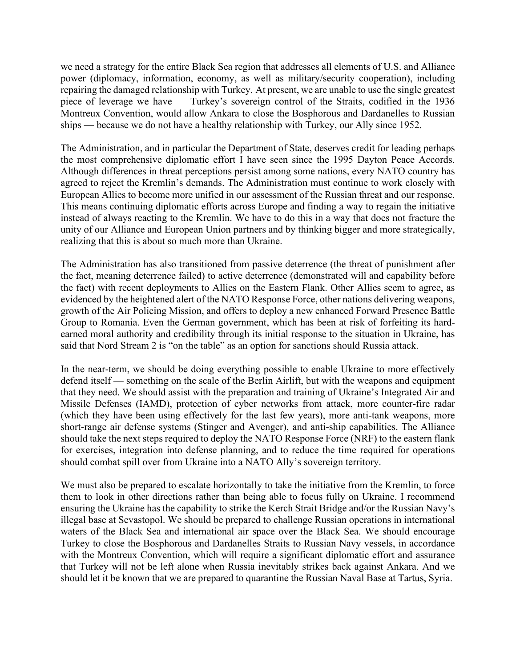we need a strategy for the entire Black Sea region that addresses all elements of U.S. and Alliance power (diplomacy, information, economy, as well as military/security cooperation), including repairing the damaged relationship with Turkey. At present, we are unable to use the single greatest piece of leverage we have — Turkey's sovereign control of the Straits, codified in the 1936 Montreux Convention, would allow Ankara to close the Bosphorous and Dardanelles to Russian ships — because we do not have a healthy relationship with Turkey, our Ally since 1952.

The Administration, and in particular the Department of State, deserves credit for leading perhaps the most comprehensive diplomatic effort I have seen since the 1995 Dayton Peace Accords. Although differences in threat perceptions persist among some nations, every NATO country has agreed to reject the Kremlin's demands. The Administration must continue to work closely with European Allies to become more unified in our assessment of the Russian threat and our response. This means continuing diplomatic efforts across Europe and finding a way to regain the initiative instead of always reacting to the Kremlin. We have to do this in a way that does not fracture the unity of our Alliance and European Union partners and by thinking bigger and more strategically, realizing that this is about so much more than Ukraine.

The Administration has also transitioned from passive deterrence (the threat of punishment after the fact, meaning deterrence failed) to active deterrence (demonstrated will and capability before the fact) with recent deployments to Allies on the Eastern Flank. Other Allies seem to agree, as evidenced by the heightened alert of the NATO Response Force, other nations delivering weapons, growth of the Air Policing Mission, and offers to deploy a new enhanced Forward Presence Battle Group to Romania. Even the German government, which has been at risk of forfeiting its hardearned moral authority and credibility through its initial response to the situation in Ukraine, has said that Nord Stream 2 is "on the table" as an option for sanctions should Russia attack.

In the near-term, we should be doing everything possible to enable Ukraine to more effectively defend itself — something on the scale of the Berlin Airlift, but with the weapons and equipment that they need. We should assist with the preparation and training of Ukraine's Integrated Air and Missile Defenses (IAMD), protection of cyber networks from attack, more counter-fire radar (which they have been using effectively for the last few years), more anti-tank weapons, more short-range air defense systems (Stinger and Avenger), and anti-ship capabilities. The Alliance should take the next steps required to deploy the NATO Response Force (NRF) to the eastern flank for exercises, integration into defense planning, and to reduce the time required for operations should combat spill over from Ukraine into a NATO Ally's sovereign territory.

We must also be prepared to escalate horizontally to take the initiative from the Kremlin, to force them to look in other directions rather than being able to focus fully on Ukraine. I recommend ensuring the Ukraine has the capability to strike the Kerch Strait Bridge and/or the Russian Navy's illegal base at Sevastopol. We should be prepared to challenge Russian operations in international waters of the Black Sea and international air space over the Black Sea. We should encourage Turkey to close the Bosphorous and Dardanelles Straits to Russian Navy vessels, in accordance with the Montreux Convention, which will require a significant diplomatic effort and assurance that Turkey will not be left alone when Russia inevitably strikes back against Ankara. And we should let it be known that we are prepared to quarantine the Russian Naval Base at Tartus, Syria.